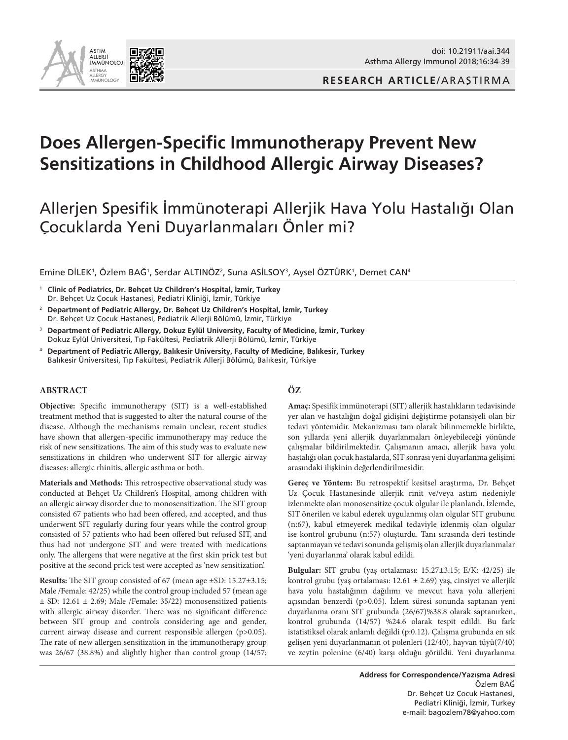



# **Does Allergen-Specific Immunotherapy Prevent New Sensitizations in Childhood Allergic Airway Diseases?**

## Allerjen Spesifik İmmünoterapi Allerjik Hava Yolu Hastalığı Olan Çocuklarda Yeni Duyarlanmaları Önler mi?

Emine DİLEK', Özlem BAĞ', Serdar ALTINÖZ?, Suna ASİLSOY<sup>3</sup>, Aysel ÖZTÜRK', Demet CAN4

<sup>1</sup> **Clinic of Pediatrics, Dr. Behçet Uz Children's Hospital, İzmir, Turkey**  Dr. Behçet Uz Çocuk Hastanesi, Pediatri Kliniği, İzmir, Türkiye

- <sup>2</sup> **Department of Pediatric Allergy, Dr. Behçet Uz Children's Hospital, İzmir, Turkey** Dr. Behçet Uz Çocuk Hastanesi, Pediatrik Allerji Bölümü, İzmir, Türkiye
- <sup>3</sup> **Department of Pediatric Allergy, Dokuz Eylül University, Faculty of Medicine, İzmir, Turkey**  Dokuz Eylül Üniversitesi, Tıp Fakültesi, Pediatrik Allerji Bölümü, İzmir, Türkiye
- <sup>4</sup> **Department of Pediatric Allergy, Balıkesir University, Faculty of Medicine, Balıkesir, Turkey** Balıkesir Üniversitesi, Tıp Fakültesi, Pediatrik Allerji Bölümü, Balıkesir, Türkiye

#### **ABSTRACT**

**Objective:** Specific immunotherapy (SIT) is a well-established treatment method that is suggested to alter the natural course of the disease. Although the mechanisms remain unclear, recent studies have shown that allergen-specific immunotherapy may reduce the risk of new sensitizations. The aim of this study was to evaluate new sensitizations in children who underwent SIT for allergic airway diseases: allergic rhinitis, allergic asthma or both.

**Materials and Methods:** This retrospective observational study was conducted at Behçet Uz Children's Hospital, among children with an allergic airway disorder due to monosensitization. The SIT group consisted 67 patients who had been offered, and accepted, and thus underwent SIT regularly during four years while the control group consisted of 57 patients who had been offered but refused SIT, and thus had not undergone SIT and were treated with medications only. The allergens that were negative at the first skin prick test but positive at the second prick test were accepted as 'new sensitization'.

**Results:** The SIT group consisted of 67 (mean age ±SD: 15.27±3.15; Male /Female: 42/25) while the control group included 57 (mean age  $\pm$  SD: 12.61  $\pm$  2.69; Male /Female: 35/22) monosensitized patients with allergic airway disorder. There was no significant difference between SIT group and controls considering age and gender, current airway disease and current responsible allergen (p>0.05). The rate of new allergen sensitization in the immunotherapy group was 26/67 (38.8%) and slightly higher than control group (14/57;

## **ÖZ**

**Amaç:** Spesifik immünoterapi (SIT) allerjik hastalıkların tedavisinde yer alan ve hastalığın doğal gidişini değiştirme potansiyeli olan bir tedavi yöntemidir. Mekanizması tam olarak bilinmemekle birlikte, son yıllarda yeni allerjik duyarlanmaları önleyebileceği yönünde çalışmalar bildirilmektedir. Çalışmanın amacı, allerjik hava yolu hastalığı olan çocuk hastalarda, SIT sonrası yeni duyarlanma gelişimi arasındaki ilişkinin değerlendirilmesidir.

**Gereç ve Yöntem:** Bu retrospektif kesitsel araştırma, Dr. Behçet Uz Çocuk Hastanesinde allerjik rinit ve/veya astım nedeniyle izlenmekte olan monosensitize çocuk olgular ile planlandı. İzlemde, SIT önerilen ve kabul ederek uygulanmış olan olgular SIT grubunu (n:67), kabul etmeyerek medikal tedaviyle izlenmiş olan olgular ise kontrol grubunu (n:57) oluşturdu. Tanı sırasında deri testinde saptanmayan ve tedavi sonunda gelişmiş olan allerjik duyarlanmalar 'yeni duyarlanma' olarak kabul edildi.

**Bulgular:** SIT grubu (yaş ortalaması: 15.27±3.15; E/K: 42/25) ile kontrol grubu (yaş ortalaması:  $12.61 \pm 2.69$ ) yaş, cinsiyet ve allerjik hava yolu hastalığının dağılımı ve mevcut hava yolu allerjeni açısından benzerdi (p>0.05). İzlem süresi sonunda saptanan yeni duyarlanma oranı SIT grubunda (26/67)%38.8 olarak saptanırken, kontrol grubunda (14/57) %24.6 olarak tespit edildi. Bu fark istatistiksel olarak anlamlı değildi (p:0.12). Çalışma grubunda en sık gelişen yeni duyarlanmanın ot polenleri (12/40), hayvan tüyü(7/40) ve zeytin polenine (6/40) karşı olduğu görüldü. Yeni duyarlanma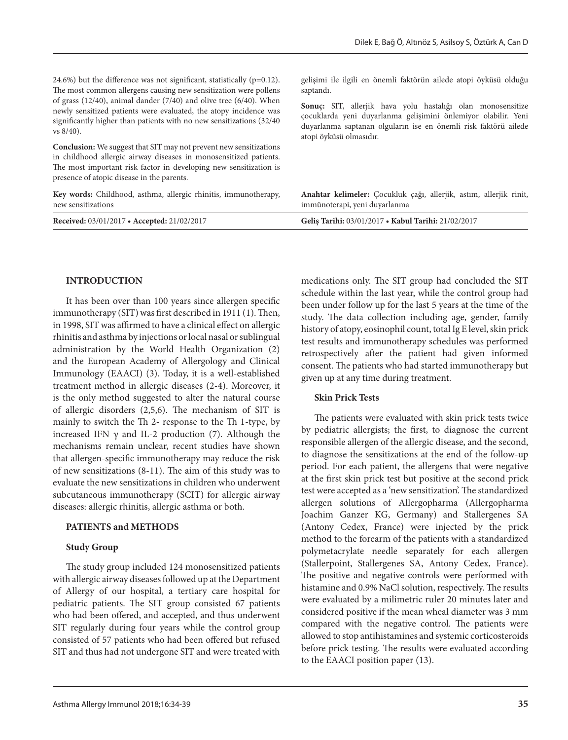24.6%) but the difference was not significant, statistically ( $p=0.12$ ). The most common allergens causing new sensitization were pollens of grass (12/40), animal dander (7/40) and olive tree (6/40). When newly sensitized patients were evaluated, the atopy incidence was significantly higher than patients with no new sensitizations (32/40 vs 8/40).

**Conclusion:** We suggest that SIT may not prevent new sensitizations in childhood allergic airway diseases in monosensitized patients. The most important risk factor in developing new sensitization is presence of atopic disease in the parents.

**Key words:** Childhood, asthma, allergic rhinitis, immunotherapy, new sensitizations

| Received: 03/01/2017 • Accepted: 21/02/2017 | Gelis Tarihi: 03/01/2017 • Kabul Tarihi: 21/02/2017 |
|---------------------------------------------|-----------------------------------------------------|
|---------------------------------------------|-----------------------------------------------------|

saptandı.

#### **INTRODUCTION**

It has been over than 100 years since allergen specific immunotherapy (SIT) was first described in 1911 (1). Then, in 1998, SIT was affirmed to have a clinical effect on allergic rhinitis and asthma by injections or local nasal or sublingual administration by the World Health Organization (2) and the European Academy of Allergology and Clinical Immunology (EAACI) (3). Today, it is a well-established treatment method in allergic diseases (2-4). Moreover, it is the only method suggested to alter the natural course of allergic disorders (2,5,6). The mechanism of SIT is mainly to switch the Th 2- response to the Th 1-type, by increased IFN γ and IL-2 production (7). Although the mechanisms remain unclear, recent studies have shown that allergen-specific immunotherapy may reduce the risk of new sensitizations (8-11). The aim of this study was to evaluate the new sensitizations in children who underwent subcutaneous immunotherapy (SCIT) for allergic airway diseases: allergic rhinitis, allergic asthma or both.

#### **PATIENTS and METHODS**

#### **Study Group**

The study group included 124 monosensitized patients with allergic airway diseases followed up at the Department of Allergy of our hospital, a tertiary care hospital for pediatric patients. The SIT group consisted 67 patients who had been offered, and accepted, and thus underwent SIT regularly during four years while the control group consisted of 57 patients who had been offered but refused SIT and thus had not undergone SIT and were treated with

medications only. The SIT group had concluded the SIT schedule within the last year, while the control group had been under follow up for the last 5 years at the time of the study. The data collection including age, gender, family history of atopy, eosinophil count, total Ig E level, skin prick test results and immunotherapy schedules was performed retrospectively after the patient had given informed consent. The patients who had started immunotherapy but given up at any time during treatment.

**Anahtar kelimeler:** Çocukluk çağı, allerjik, astım, allerjik rinit,

gelişimi ile ilgili en önemli faktörün ailede atopi öyküsü olduğu

**Sonuç:** SIT, allerjik hava yolu hastalığı olan monosensitize çocuklarda yeni duyarlanma gelişimini önlemiyor olabilir. Yeni duyarlanma saptanan olguların ise en önemli risk faktörü ailede

#### **Skin Prick Tests**

immünoterapi, yeni duyarlanma

atopi öyküsü olmasıdır.

The patients were evaluated with skin prick tests twice by pediatric allergists; the first, to diagnose the current responsible allergen of the allergic disease, and the second, to diagnose the sensitizations at the end of the follow-up period. For each patient, the allergens that were negative at the first skin prick test but positive at the second prick test were accepted as a 'new sensitization'. The standardized allergen solutions of Allergopharma (Allergopharma Joachim Ganzer KG, Germany) and Stallergenes SA (Antony Cedex, France) were injected by the prick method to the forearm of the patients with a standardized polymetacrylate needle separately for each allergen (Stallerpoint, Stallergenes SA, Antony Cedex, France). The positive and negative controls were performed with histamine and 0.9% NaCl solution, respectively. The results were evaluated by a milimetric ruler 20 minutes later and considered positive if the mean wheal diameter was 3 mm compared with the negative control. The patients were allowed to stop antihistamines and systemic corticosteroids before prick testing. The results were evaluated according to the EAACI position paper (13).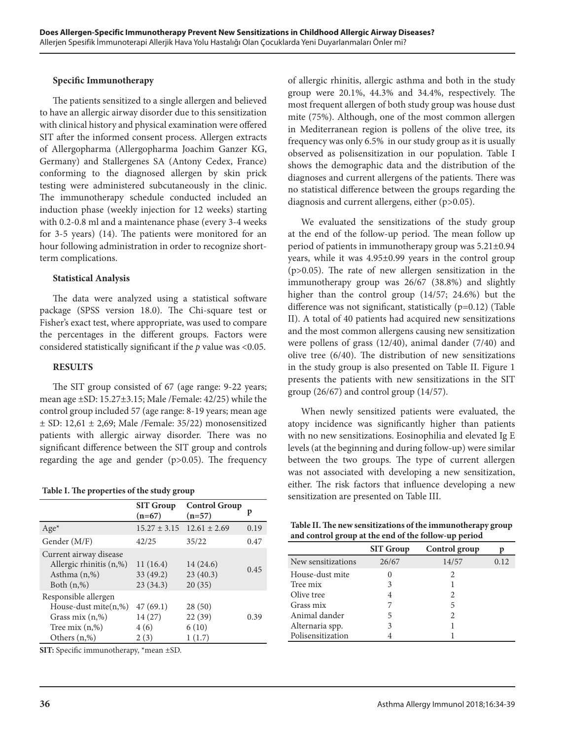#### **Specific Immunotherapy**

The patients sensitized to a single allergen and believed to have an allergic airway disorder due to this sensitization with clinical history and physical examination were offered SIT after the informed consent process. Allergen extracts of Allergopharma (Allergopharma Joachim Ganzer KG, Germany) and Stallergenes SA (Antony Cedex, France) conforming to the diagnosed allergen by skin prick testing were administered subcutaneously in the clinic. The immunotherapy schedule conducted included an induction phase (weekly injection for 12 weeks) starting with 0.2-0.8 ml and a maintenance phase (every 3-4 weeks for 3-5 years) (14). The patients were monitored for an hour following administration in order to recognize shortterm complications.

#### **Statistical Analysis**

The data were analyzed using a statistical software package (SPSS version 18.0). The Chi-square test or Fisher's exact test, where appropriate, was used to compare the percentages in the different groups. Factors were considered statistically significant if the *p* value was <0.05.

#### **RESULTS**

The SIT group consisted of 67 (age range: 9-22 years; mean age ±SD: 15.27±3.15; Male /Female: 42/25) while the control group included 57 (age range: 8-19 years; mean age  $\pm$  SD: 12,61  $\pm$  2,69; Male /Female: 35/22) monosensitized patients with allergic airway disorder. There was no significant difference between the SIT group and controls regarding the age and gender (p>0.05). The frequency

| Table I. The properties of the study group |
|--------------------------------------------|
|--------------------------------------------|

|                                                                                                              | <b>SIT Group</b><br>$(n=67)$        | <b>Control Group</b><br>$(n=57)$    | p    |
|--------------------------------------------------------------------------------------------------------------|-------------------------------------|-------------------------------------|------|
| $Age*$                                                                                                       | $15.27 \pm 3.15$ $12.61 \pm 2.69$   |                                     | 0.19 |
| Gender (M/F)                                                                                                 | 42/25                               | 35/22                               | 0.47 |
| Current airway disease<br>Allergic rhinitis (n,%)<br>Asthma (n,%)<br>Both $(n, %)$                           | 11(16.4)<br>33(49.2)<br>23(34.3)    | 14(24.6)<br>23(40.3)<br>20(35)      | 0.45 |
| Responsible allergen<br>House-dust mite $(n, %)$<br>Grass mix $(n,%)$<br>Tree mix $(n,%)$<br>Others $(n, %)$ | 47(69.1)<br>14 (27)<br>4(6)<br>2(3) | 28(50)<br>22(39)<br>6(10)<br>1(1.7) | 0.39 |

**SIT:** Specific immunotherapy, \*mean ±SD.

of allergic rhinitis, allergic asthma and both in the study group were 20.1%, 44.3% and 34.4%, respectively. The most frequent allergen of both study group was house dust mite (75%). Although, one of the most common allergen in Mediterranean region is pollens of the olive tree, its frequency was only 6.5% in our study group as it is usually observed as polisensitization in our population. Table I shows the demographic data and the distribution of the diagnoses and current allergens of the patients. There was no statistical difference between the groups regarding the diagnosis and current allergens, either (p>0.05).

We evaluated the sensitizations of the study group at the end of the follow-up period. The mean follow up period of patients in immunotherapy group was 5.21±0.94 years, while it was 4.95±0.99 years in the control group (p>0.05). The rate of new allergen sensitization in the immunotherapy group was 26/67 (38.8%) and slightly higher than the control group (14/57; 24.6%) but the difference was not significant, statistically (p=0.12) (Table II). A total of 40 patients had acquired new sensitizations and the most common allergens causing new sensitization were pollens of grass (12/40), animal dander (7/40) and olive tree (6/40). The distribution of new sensitizations in the study group is also presented on Table II. Figure 1 presents the patients with new sensitizations in the SIT group (26/67) and control group (14/57).

When newly sensitized patients were evaluated, the atopy incidence was significantly higher than patients with no new sensitizations. Eosinophilia and elevated Ig E levels (at the beginning and during follow-up) were similar between the two groups. The type of current allergen was not associated with developing a new sensitization, either. The risk factors that influence developing a new sensitization are presented on Table III.

**Table II. The new sensitizations of the immunotherapy group and control group at the end of the follow-up period**

|                    | <b>SIT Group</b> | Control group | р    |
|--------------------|------------------|---------------|------|
| New sensitizations | 26/67            | 14/57         | 0.12 |
| House-dust mite    |                  | 2             |      |
| Tree mix           | 3                |               |      |
| Olive tree         |                  | 2             |      |
| Grass mix          |                  | 5             |      |
| Animal dander      | 5                | 2             |      |
| Alternaria spp.    | 3                |               |      |
| Polisensitization  |                  |               |      |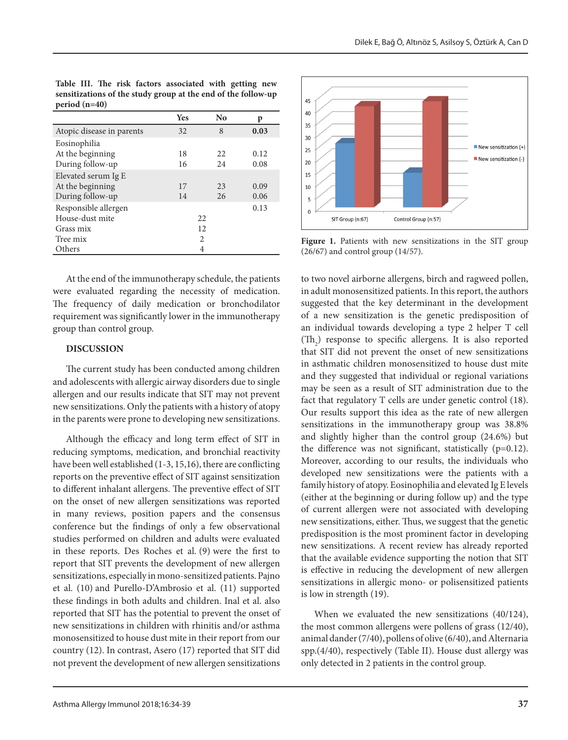|                           | <b>Yes</b>            | $\bf No$ | p    |
|---------------------------|-----------------------|----------|------|
| Atopic disease in parents | 32                    | 8        | 0.03 |
| Eosinophilia              |                       |          |      |
| At the beginning          | 18                    | 22.      | 0.12 |
| During follow-up          | 16                    | 24       | 0.08 |
| Elevated serum Ig E       |                       |          |      |
| At the beginning          | 17                    | 23       | 0.09 |
| During follow-up          | 14                    | 26       | 0.06 |
| Responsible allergen      |                       |          | 0.13 |
| House-dust mite           | 22.                   |          |      |
| Grass mix                 |                       | 12       |      |
| Tree mix                  | $\mathcal{D}_{\cdot}$ |          |      |
| Others                    | 4                     |          |      |

**Table III. The risk factors associated with getting new sensitizations of the study group at the end of the follow-up period (n=40)**

At the end of the immunotherapy schedule, the patients were evaluated regarding the necessity of medication. The frequency of daily medication or bronchodilator requirement was significantly lower in the immunotherapy group than control group.

### **DISCUSSION**

The current study has been conducted among children and adolescents with allergic airway disorders due to single allergen and our results indicate that SIT may not prevent new sensitizations. Only the patients with a history of atopy in the parents were prone to developing new sensitizations.

Although the efficacy and long term effect of SIT in reducing symptoms, medication, and bronchial reactivity have been well established (1-3, 15,16), there are conflicting reports on the preventive effect of SIT against sensitization to different inhalant allergens. The preventive effect of SIT on the onset of new allergen sensitizations was reported in many reviews, position papers and the consensus conference but the findings of only a few observational studies performed on children and adults were evaluated in these reports. Des Roches et al. (9) were the first to report that SIT prevents the development of new allergen sensitizations, especially in mono-sensitized patients. Pajno et al. (10) and Purello-D'Ambrosio et al. (11) supported these findings in both adults and children. Inal et al. also reported that SIT has the potential to prevent the onset of new sensitizations in children with rhinitis and/or asthma monosensitized to house dust mite in their report from our country (12). In contrast, Asero (17) reported that SIT did not prevent the development of new allergen sensitizations



**Figure 1.** Patients with new sensitizations in the SIT group (26/67) and control group (14/57).

to two novel airborne allergens, birch and ragweed pollen, in adult monosensitized patients. In this report, the authors suggested that the key determinant in the development of a new sensitization is the genetic predisposition of an individual towards developing a type 2 helper T cell  $(Th<sub>2</sub>)$  response to specific allergens. It is also reported that SIT did not prevent the onset of new sensitizations in asthmatic children monosensitized to house dust mite and they suggested that individual or regional variations may be seen as a result of SIT administration due to the fact that regulatory T cells are under genetic control (18). Our results support this idea as the rate of new allergen sensitizations in the immunotherapy group was 38.8% and slightly higher than the control group (24.6%) but the difference was not significant, statistically  $(p=0.12)$ . Moreover, according to our results, the individuals who developed new sensitizations were the patients with a family history of atopy. Eosinophilia and elevated Ig E levels (either at the beginning or during follow up) and the type of current allergen were not associated with developing new sensitizations, either. Thus, we suggest that the genetic predisposition is the most prominent factor in developing new sensitizations. A recent review has already reported that the available evidence supporting the notion that SIT is effective in reducing the development of new allergen sensitizations in allergic mono- or polisensitized patients is low in strength (19).

When we evaluated the new sensitizations (40/124), the most common allergens were pollens of grass (12/40), animal dander (7/40), pollens of olive (6/40), and Alternaria spp.(4/40), respectively (Table II). House dust allergy was only detected in 2 patients in the control group.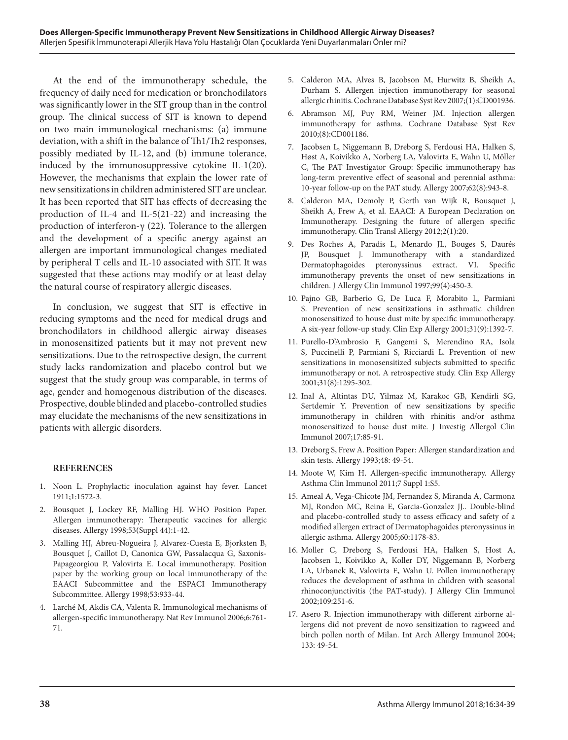At the end of the immunotherapy schedule, the frequency of daily need for medication or bronchodilators was significantly lower in the SIT group than in the control group. The clinical success of SIT is known to depend on two main immunological mechanisms: (a) immune deviation, with a shift in the balance of Th1/Th2 responses, possibly mediated by IL-12, and (b) immune tolerance, induced by the immunosuppressive cytokine IL-1(20). However, the mechanisms that explain the lower rate of new sensitizations in children administered SIT are unclear. It has been reported that SIT has effects of decreasing the production of IL-4 and IL-5(21-22) and increasing the production of interferon-γ (22). Tolerance to the allergen and the development of a specific anergy against an allergen are important immunological changes mediated by peripheral T cells and IL-10 associated with SIT. It was suggested that these actions may modify or at least delay the natural course of respiratory allergic diseases.

In conclusion, we suggest that SIT is effective in reducing symptoms and the need for medical drugs and bronchodilators in childhood allergic airway diseases in monosensitized patients but it may not prevent new sensitizations. Due to the retrospective design, the current study lacks randomization and placebo control but we suggest that the study group was comparable, in terms of age, gender and homogenous distribution of the diseases. Prospective, double blinded and placebo-controlled studies may elucidate the mechanisms of the new sensitizations in patients with allergic disorders.

#### **REFERENCES**

- 1. Noon L. Prophylactic inoculation against hay fever. Lancet 1911;1:1572-3.
- 2. Bousquet J, Lockey RF, Malling HJ. WHO Position Paper. Allergen immunotherapy: Therapeutic vaccines for allergic diseases. Allergy 1998;53(Suppl 44):1-42.
- 3. Malling HJ, Abreu-Nogueira J, Alvarez-Cuesta E, Bjorksten B, Bousquet J, Caillot D, Canonica GW, Passalacqua G, Saxonis-Papageorgiou P, Valovirta E. Local immunotherapy. Position paper by the working group on local immunotherapy of the EAACI Subcommittee and the ESPACI Immunotherapy Subcommittee. Allergy 1998;53:933-44.
- 4. Larché M, Akdis CA, Valenta R. Immunological mechanisms of allergen-specific immunotherapy. Nat Rev Immunol 2006;6:761- 71.
- 5. Calderon MA, Alves B, Jacobson M, Hurwitz B, Sheikh A, Durham S. Allergen injection immunotherapy for seasonal allergic rhinitis. Cochrane Database Syst Rev 2007;(1):CD001936.
- 6. Abramson MJ, Puy RM, Weiner JM. Injection allergen immunotherapy for asthma. Cochrane Database Syst Rev 2010;(8):CD001186.
- 7. Jacobsen L, Niggemann B, Dreborg S, Ferdousi HA, Halken S, Høst A, Koivikko A, Norberg LA, Valovirta E, Wahn U, Möller C, The PAT Investigator Group: Specific immunotherapy has long-term preventive effect of seasonal and perennial asthma: 10-year follow-up on the PAT study. Allergy 2007;62(8):943-8.
- 8. Calderon MA, Demoly P, Gerth van Wijk R, Bousquet J, Sheikh A, Frew A, et al. EAACI: A European Declaration on Immunotherapy. Designing the future of allergen specific immunotherapy. Clin Transl Allergy 2012;2(1):20.
- 9. Des Roches A, Paradis L, Menardo JL, Bouges S, Daurés JP, Bousquet J. Immunotherapy with a standardized Dermatophagoides pteronyssinus extract. VI. Specific immunotherapy prevents the onset of new sensitizations in children. J Allergy Clin Immunol 1997;99(4):450-3.
- 10. Pajno GB, Barberio G, De Luca F, Morabito L, Parmiani S. Prevention of new sensitizations in asthmatic children monosensitized to house dust mite by specific immunotherapy. A six-year follow-up study. Clin Exp Allergy 2001;31(9):1392-7.
- 11. Purello-D'Ambrosio F, Gangemi S, Merendino RA, Isola S, Puccinelli P, Parmiani S, Ricciardi L. Prevention of new sensitizations in monosensitized subjects submitted to specific immunotherapy or not. A retrospective study. Clin Exp Allergy 2001;31(8):1295-302.
- 12. Inal A, Altintas DU, Yilmaz M, Karakoc GB, Kendirli SG, Sertdemir Y. Prevention of new sensitizations by specific immunotherapy in children with rhinitis and/or asthma monosensitized to house dust mite. J Investig Allergol Clin Immunol 2007;17:85-91.
- 13. Dreborg S, Frew A. Position Paper: Allergen standardization and skin tests. Allergy 1993;48: 49-54.
- 14. Moote W, Kim H. Allergen-specific immunotherapy. Allergy Asthma Clin Immunol 2011;7 Suppl 1:S5.
- 15. Ameal A, Vega-Chicote JM, Fernandez S, Miranda A, Carmona MJ, Rondon MC, Reina E, Garcia-Gonzalez JJ.. Double-blind and placebo-controlled study to assess efficacy and safety of a modified allergen extract of Dermatophagoides pteronyssinus in allergic asthma. Allergy 2005;60:1178-83.
- 16. Moller C, Dreborg S, Ferdousi HA, Halken S, Host A, Jacobsen L, Koivikko A, Koller DY, Niggemann B, Norberg LA, Urbanek R, Valovirta E, Wahn U. Pollen immunotherapy reduces the development of asthma in children with seasonal rhinoconjunctivitis (the PAT-study). J Allergy Clin Immunol 2002;109:251-6.
- 17. Asero R. Injection immunotherapy with different airborne allergens did not prevent de novo sensitization to ragweed and birch pollen north of Milan. Int Arch Allergy Immunol 2004; 133: 49-54.